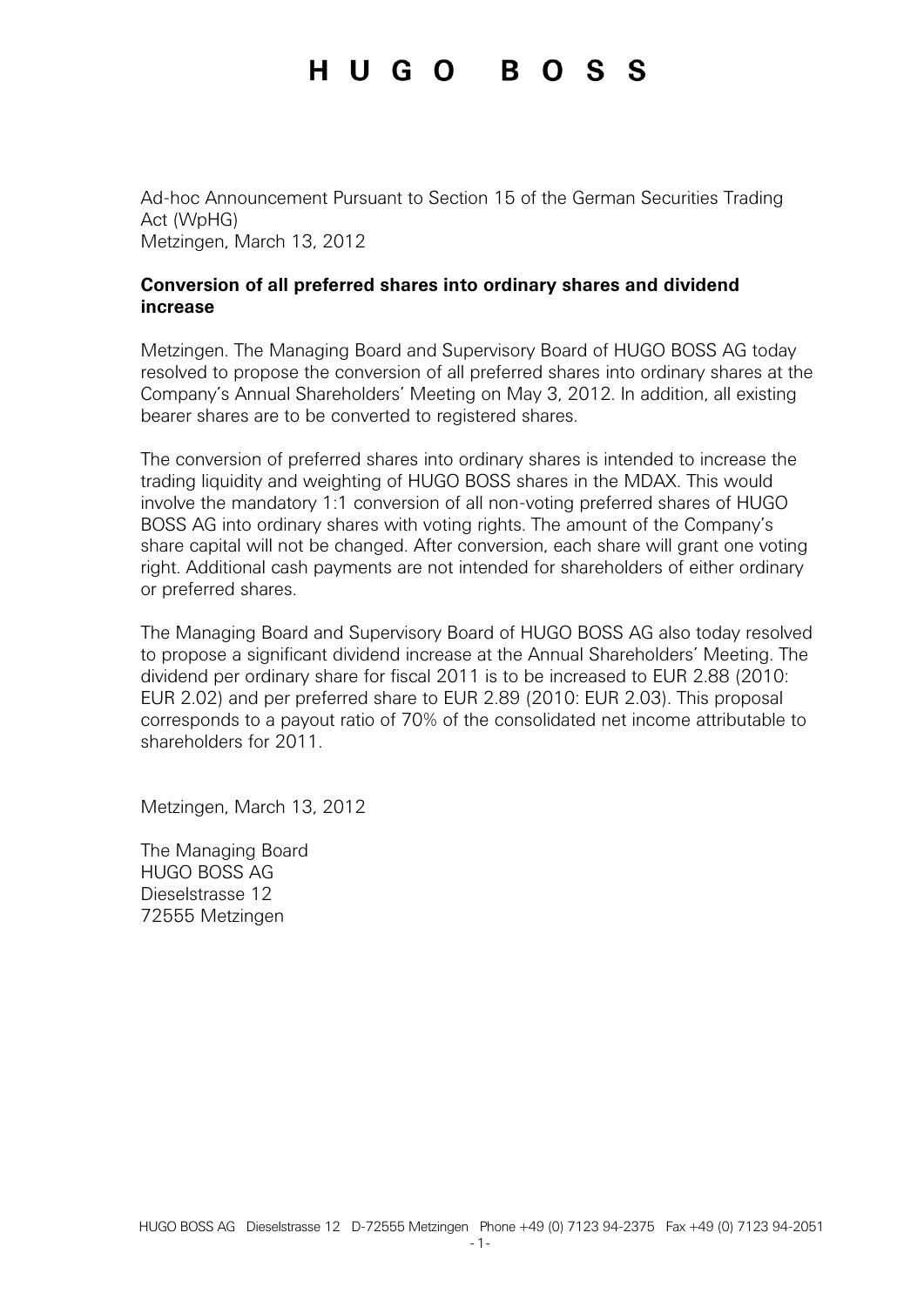Ad-hoc Announcement Pursuant to Section 15 of the German Securities Trading Act (WpHG) Metzingen, March 13, 2012

#### **Conversion of all preferred shares into ordinary shares and dividend increase**

Metzingen. The Managing Board and Supervisory Board of HUGO BOSS AG today resolved to propose the conversion of all preferred shares into ordinary shares at the Company's Annual Shareholders' Meeting on May 3, 2012. In addition, all existing bearer shares are to be converted to registered shares.

The conversion of preferred shares into ordinary shares is intended to increase the trading liquidity and weighting of HUGO BOSS shares in the MDAX. This would involve the mandatory 1:1 conversion of all non-voting preferred shares of HUGO BOSS AG into ordinary shares with voting rights. The amount of the Company's share capital will not be changed. After conversion, each share will grant one voting right. Additional cash payments are not intended for shareholders of either ordinary or preferred shares.

The Managing Board and Supervisory Board of HUGO BOSS AG also today resolved to propose a significant dividend increase at the Annual Shareholders' Meeting. The dividend per ordinary share for fiscal 2011 is to be increased to EUR 2.88 (2010: EUR 2.02) and per preferred share to EUR 2.89 (2010: EUR 2.03). This proposal corresponds to a payout ratio of 70% of the consolidated net income attributable to shareholders for 2011.

Metzingen, March 13, 2012

The Managing Board HUGO BOSS AG Dieselstrasse 12 72555 Metzingen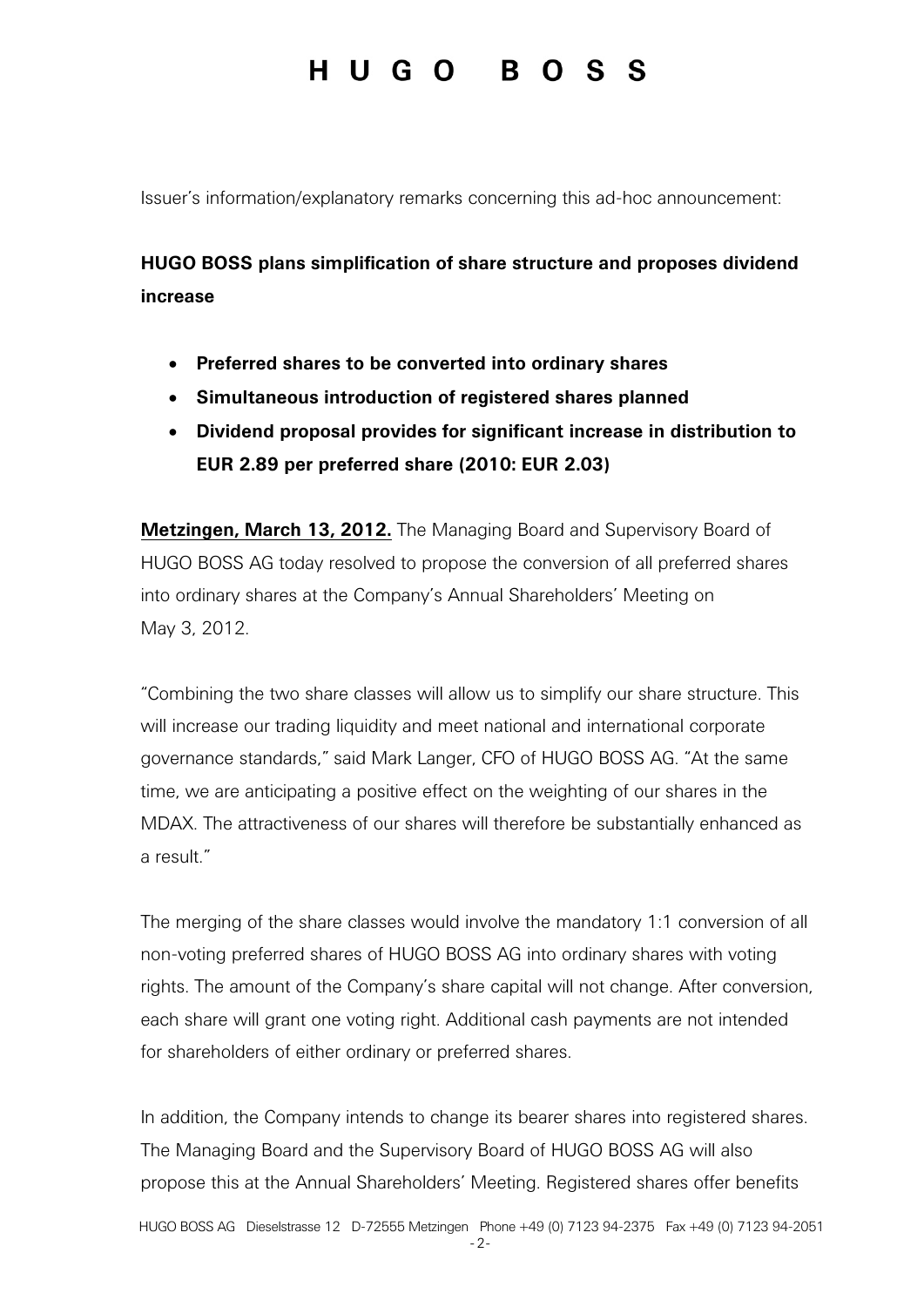Issuer's information/explanatory remarks concerning this ad-hoc announcement:

### **HUGO BOSS plans simplification of share structure and proposes dividend increase**

- **Preferred shares to be converted into ordinary shares**
- **Simultaneous introduction of registered shares planned**
- **Dividend proposal provides for significant increase in distribution to EUR 2.89 per preferred share (2010: EUR 2.03)**

**Metzingen, March 13, 2012.** The Managing Board and Supervisory Board of HUGO BOSS AG today resolved to propose the conversion of all preferred shares into ordinary shares at the Company's Annual Shareholders' Meeting on May 3, 2012.

"Combining the two share classes will allow us to simplify our share structure. This will increase our trading liquidity and meet national and international corporate governance standards," said Mark Langer, CFO of HUGO BOSS AG. "At the same time, we are anticipating a positive effect on the weighting of our shares in the MDAX. The attractiveness of our shares will therefore be substantially enhanced as a result."

The merging of the share classes would involve the mandatory 1:1 conversion of all non-voting preferred shares of HUGO BOSS AG into ordinary shares with voting rights. The amount of the Company's share capital will not change. After conversion, each share will grant one voting right. Additional cash payments are not intended for shareholders of either ordinary or preferred shares.

In addition, the Company intends to change its bearer shares into registered shares. The Managing Board and the Supervisory Board of HUGO BOSS AG will also propose this at the Annual Shareholders' Meeting. Registered shares offer benefits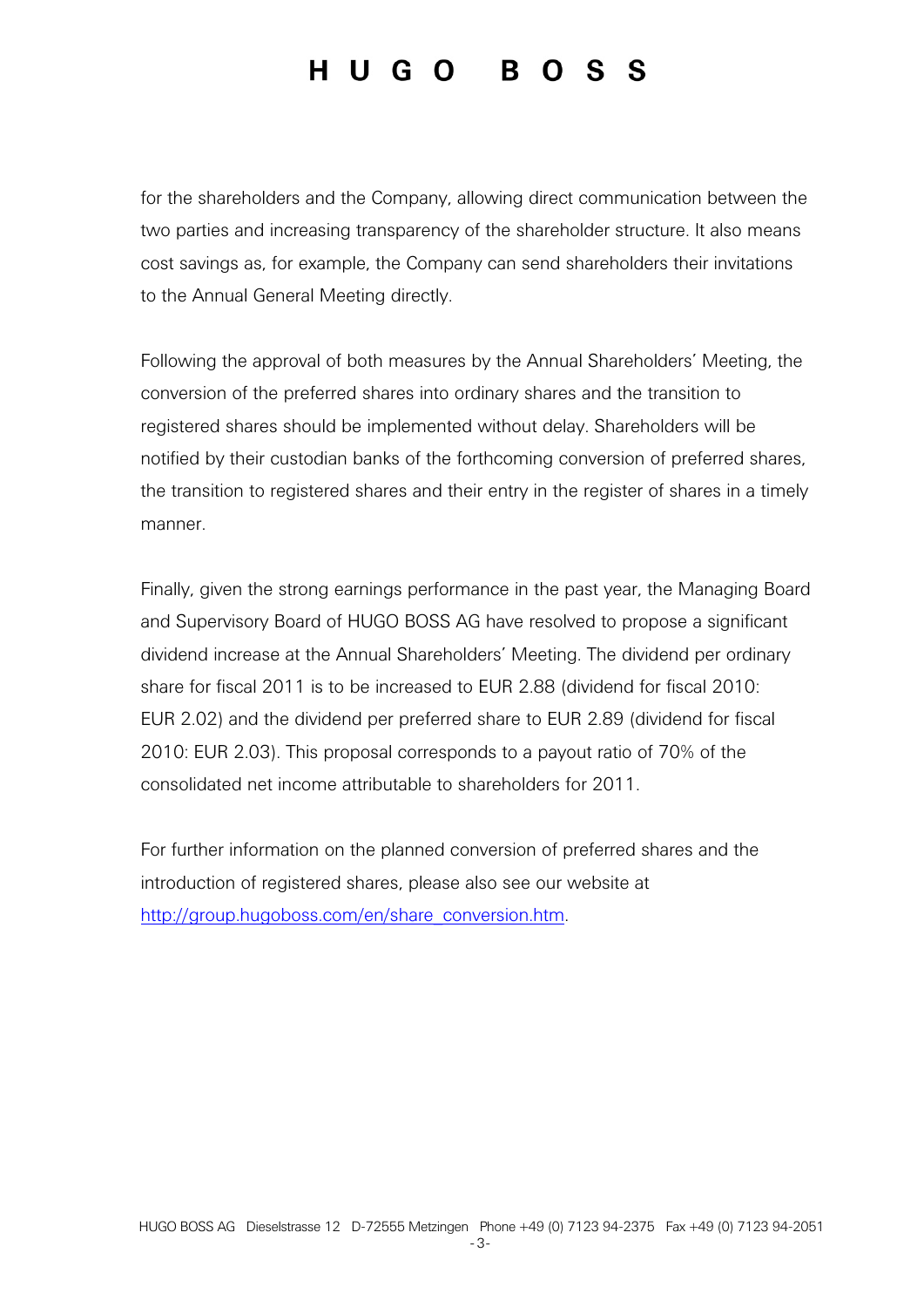for the shareholders and the Company, allowing direct communication between the two parties and increasing transparency of the shareholder structure. It also means cost savings as, for example, the Company can send shareholders their invitations to the Annual General Meeting directly.

Following the approval of both measures by the Annual Shareholders' Meeting, the conversion of the preferred shares into ordinary shares and the transition to registered shares should be implemented without delay. Shareholders will be notified by their custodian banks of the forthcoming conversion of preferred shares, the transition to registered shares and their entry in the register of shares in a timely manner.

Finally, given the strong earnings performance in the past year, the Managing Board and Supervisory Board of HUGO BOSS AG have resolved to propose a significant dividend increase at the Annual Shareholders' Meeting. The dividend per ordinary share for fiscal 2011 is to be increased to EUR 2.88 (dividend for fiscal 2010: EUR 2.02) and the dividend per preferred share to EUR 2.89 (dividend for fiscal 2010: EUR 2.03). This proposal corresponds to a payout ratio of 70% of the consolidated net income attributable to shareholders for 2011.

For further information on the planned conversion of preferred shares and the introduction of registered shares, please also see our website at http://group.hugoboss.com/en/share\_conversion.htm.

-3-